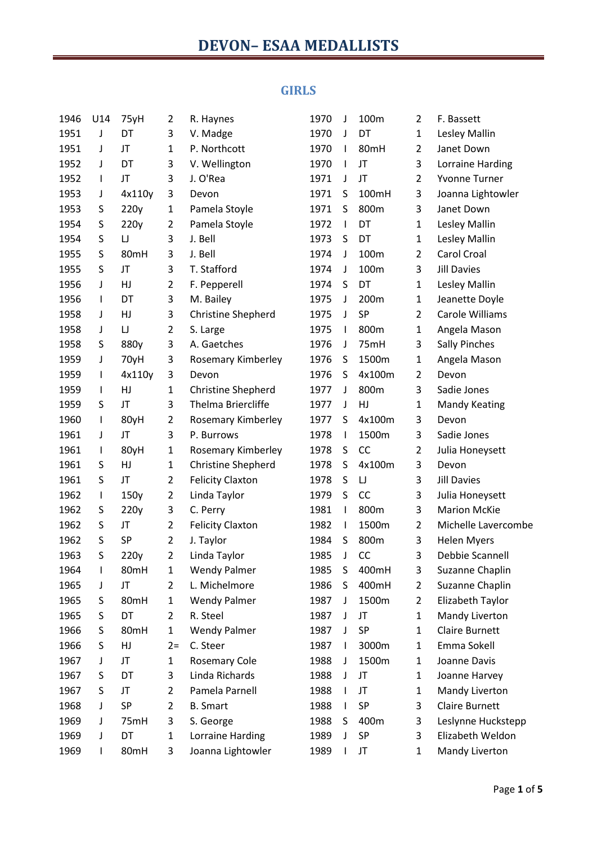#### **GIRLS**

| 1946 | U14          | 75yH     | $\overline{2}$ | R. Haynes                 | 1970 | J            | 100m      | 2              | F. Bassett            |
|------|--------------|----------|----------------|---------------------------|------|--------------|-----------|----------------|-----------------------|
| 1951 | J            | DT       | 3              | V. Madge                  | 1970 | J            | DT        | $\mathbf{1}$   | Lesley Mallin         |
| 1951 | J            | JT       | $\mathbf 1$    | P. Northcott              | 1970 | $\mathsf{l}$ | 80mH      | $\overline{2}$ | Janet Down            |
| 1952 | J            | DT       | 3              | V. Wellington             | 1970 | ı            | JT        | 3              | Lorraine Harding      |
| 1952 | $\mathbf{I}$ | JT       | 3              | J. O'Rea                  | 1971 | J            | JT        | $\overline{2}$ | <b>Yvonne Turner</b>  |
| 1953 | J            | 4x110y   | 3              | Devon                     | 1971 | S            | 100mH     | 3              | Joanna Lightowler     |
| 1953 | S            | 220y     | $\mathbf{1}$   | Pamela Stoyle             | 1971 | S            | 800m      | 3              | Janet Down            |
| 1954 | S            | 220y     | $\overline{2}$ | Pamela Stoyle             | 1972 | $\mathsf{l}$ | DT        | $\mathbf{1}$   | Lesley Mallin         |
| 1954 | S            | $\cup$   | 3              | J. Bell                   | 1973 | S            | DT        | $\mathbf{1}$   | Lesley Mallin         |
| 1955 | S            | 80mH     | 3              | J. Bell                   | 1974 | J            | 100m      | 2              | Carol Croal           |
| 1955 | S            | JT       | 3              | T. Stafford               | 1974 | J            | 100m      | 3              | <b>Jill Davies</b>    |
| 1956 | J            | HJ       | $\overline{2}$ | F. Pepperell              | 1974 | S            | DT        | $\mathbf{1}$   | Lesley Mallin         |
| 1956 | $\mathbf{I}$ | DT       | 3              | M. Bailey                 | 1975 | J            | 200m      | $\mathbf 1$    | Jeanette Doyle        |
| 1958 | J            | HJ       | 3              | <b>Christine Shepherd</b> | 1975 | J            | SP        | 2              | Carole Williams       |
| 1958 | J            | $\sqcup$ | $\overline{2}$ | S. Large                  | 1975 | I            | 800m      | $\mathbf{1}$   | Angela Mason          |
| 1958 | S            | 880y     | 3              | A. Gaetches               | 1976 | J            | 75mH      | 3              | <b>Sally Pinches</b>  |
| 1959 | J            | 70yH     | 3              | Rosemary Kimberley        | 1976 | S            | 1500m     | $\mathbf{1}$   | Angela Mason          |
| 1959 | $\mathbf{I}$ | 4x110y   | 3              | Devon                     | 1976 | S            | 4x100m    | 2              | Devon                 |
| 1959 | $\mathbf{I}$ | HJ       | $\mathbf{1}$   | <b>Christine Shepherd</b> | 1977 | J            | 800m      | 3              | Sadie Jones           |
| 1959 | S            | JT       | 3              | Thelma Briercliffe        | 1977 | J            | HJ        | $\mathbf{1}$   | <b>Mandy Keating</b>  |
| 1960 | $\mathbf{I}$ | 80yH     | $\overline{2}$ | Rosemary Kimberley        | 1977 | S            | 4x100m    | 3              | Devon                 |
| 1961 | J            | JT       | 3              | P. Burrows                | 1978 | $\mathsf{l}$ | 1500m     | 3              | Sadie Jones           |
| 1961 | $\mathbf{I}$ | 80yH     | $\mathbf 1$    | Rosemary Kimberley        | 1978 | S            | CC        | $\overline{2}$ | Julia Honeysett       |
| 1961 | S            | HJ       | $\mathbf 1$    | <b>Christine Shepherd</b> | 1978 | S            | 4x100m    | 3              | Devon                 |
| 1961 | S            | JT       | $\overline{2}$ | <b>Felicity Claxton</b>   | 1978 | S            | IJ        | 3              | <b>Jill Davies</b>    |
| 1962 | $\mathbf{I}$ | 150y     | $\overline{2}$ | Linda Taylor              | 1979 | S            | <b>CC</b> | 3              | Julia Honeysett       |
| 1962 | S            | 220y     | 3              | C. Perry                  | 1981 | $\mathsf{I}$ | 800m      | 3              | <b>Marion McKie</b>   |
| 1962 | S            | JT       | $\overline{2}$ | <b>Felicity Claxton</b>   | 1982 | $\mathsf{l}$ | 1500m     | 2              | Michelle Lavercombe   |
| 1962 | S            | SP       | $\overline{2}$ | J. Taylor                 | 1984 | S            | 800m      | 3              | <b>Helen Myers</b>    |
| 1963 | S            | 220y     | $\overline{2}$ | Linda Taylor              | 1985 | J            | CC        | 3              | Debbie Scannell       |
| 1964 | $\mathbf{I}$ | 80mH     | $\mathbf{1}$   | <b>Wendy Palmer</b>       | 1985 | S            | 400mH     | 3              | Suzanne Chaplin       |
| 1965 | J            | JT       | $\overline{2}$ | L. Michelmore             | 1986 | S            | 400mH     | 2              | Suzanne Chaplin       |
| 1965 | S            | 80mH     | $\mathbf 1$    | <b>Wendy Palmer</b>       | 1987 | J            | 1500m     | $\overline{2}$ | Elizabeth Taylor      |
| 1965 | S            | DT       | $\overline{2}$ | R. Steel                  | 1987 | J            | JT        | 1              | Mandy Liverton        |
| 1966 | S            | 80mH     | $\mathbf 1$    | <b>Wendy Palmer</b>       | 1987 | J            | SP        | $\mathbf{1}$   | <b>Claire Burnett</b> |
| 1966 | S            | HJ       | $2=$           | C. Steer                  | 1987 | $\mathsf{l}$ | 3000m     | 1              | Emma Sokell           |
| 1967 | J            | JT       | $\mathbf{1}$   | <b>Rosemary Cole</b>      | 1988 | J            | 1500m     | $\mathbf{1}$   | Joanne Davis          |
| 1967 | S            | DT       | 3              | Linda Richards            | 1988 | J            | JT        | 1              | Joanne Harvey         |
| 1967 | S            | JT       | $\overline{2}$ | Pamela Parnell            | 1988 | I            | JT        | $\mathbf{1}$   | Mandy Liverton        |
| 1968 | J            | SP       | $\overline{2}$ | <b>B.</b> Smart           | 1988 | $\mathsf{I}$ | SP        | 3              | <b>Claire Burnett</b> |
| 1969 | J            | 75mH     | 3              | S. George                 | 1988 | S            | 400m      | 3              | Leslynne Huckstepp    |
| 1969 | J            | DT       | $\mathbf{1}$   | Lorraine Harding          | 1989 | J            | SP        | 3              | Elizabeth Weldon      |
| 1969 | $\mathbf{I}$ | 80mH     | 3              | Joanna Lightowler         | 1989 | $\mathsf{l}$ | JT        | 1              | Mandy Liverton        |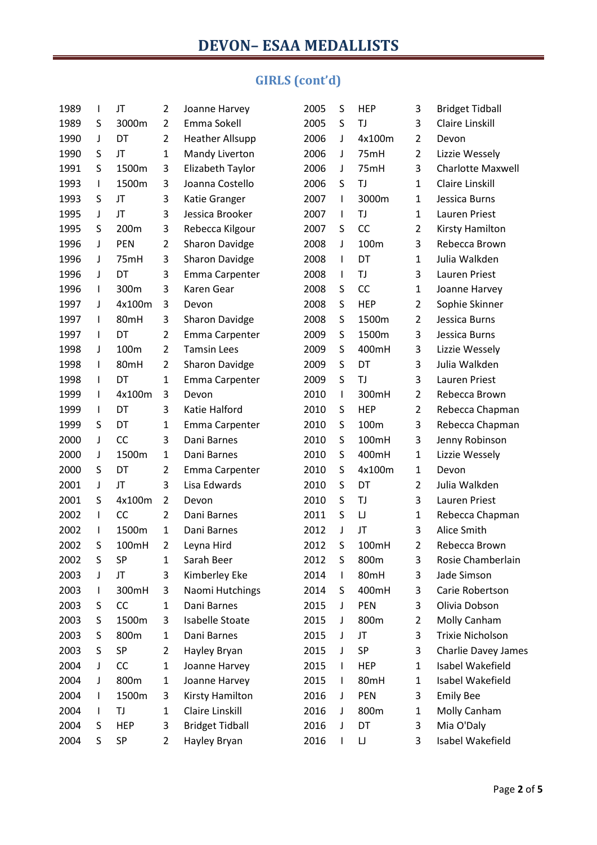# **GIRLS (cont'd)**

| 1989 | $\mathbf{I}$ | JT         | $\overline{2}$ | Joanne Harvey          | 2005 | S            | HEP        | 3              | <b>Bridget Tidball</b>     |
|------|--------------|------------|----------------|------------------------|------|--------------|------------|----------------|----------------------------|
| 1989 | S            | 3000m      | 2              | Emma Sokell            | 2005 | S            | TJ         | 3              | Claire Linskill            |
| 1990 | J            | DT         | $\overline{2}$ | <b>Heather Allsupp</b> | 2006 | J            | 4x100m     | $\overline{2}$ | Devon                      |
| 1990 | S            | JT         | $\mathbf{1}$   | Mandy Liverton         | 2006 | J            | 75mH       | $\overline{2}$ | Lizzie Wessely             |
| 1991 | S            | 1500m      | 3              | Elizabeth Taylor       | 2006 | J            | 75mH       | 3              | <b>Charlotte Maxwell</b>   |
| 1993 | $\mathsf{I}$ | 1500m      | 3              | Joanna Costello        | 2006 | S            | TJ         | $\mathbf{1}$   | Claire Linskill            |
| 1993 | S            | JT         | 3              | Katie Granger          | 2007 | $\mathsf{l}$ | 3000m      | $\mathbf{1}$   | Jessica Burns              |
| 1995 | J            | JT         | 3              | Jessica Brooker        | 2007 | $\mathsf{I}$ | TJ         | $\mathbf{1}$   | <b>Lauren Priest</b>       |
| 1995 | S            | 200m       | 3              | Rebecca Kilgour        | 2007 | S            | CC         | $\overline{2}$ | Kirsty Hamilton            |
| 1996 | J            | <b>PEN</b> | $\overline{2}$ | <b>Sharon Davidge</b>  | 2008 | J            | 100m       | 3              | Rebecca Brown              |
| 1996 | J            | 75mH       | 3              | <b>Sharon Davidge</b>  | 2008 | $\mathsf{l}$ | DT         | $\mathbf{1}$   | Julia Walkden              |
| 1996 | J            | DT         | 3              | Emma Carpenter         | 2008 | $\mathbf{I}$ | TJ         | 3              | Lauren Priest              |
| 1996 | $\mathsf{l}$ | 300m       | 3              | Karen Gear             | 2008 | S            | CC         | $\mathbf{1}$   | Joanne Harvey              |
| 1997 | J            | 4x100m     | 3              | Devon                  | 2008 | S            | <b>HEP</b> | $\overline{2}$ | Sophie Skinner             |
| 1997 | $\mathsf{l}$ | 80mH       | 3              | <b>Sharon Davidge</b>  | 2008 | S            | 1500m      | $\overline{2}$ | Jessica Burns              |
| 1997 | $\mathsf{l}$ | DT         | $\overline{2}$ | Emma Carpenter         | 2009 | S            | 1500m      | 3              | Jessica Burns              |
| 1998 | J            | 100m       | $\overline{2}$ | <b>Tamsin Lees</b>     | 2009 | S            | 400mH      | 3              | Lizzie Wessely             |
| 1998 | $\mathsf{l}$ | 80mH       | $\overline{2}$ | <b>Sharon Davidge</b>  | 2009 | S            | DT         | 3              | Julia Walkden              |
| 1998 | $\mathsf{l}$ | DT         | $\mathbf{1}$   | Emma Carpenter         | 2009 | S            | TJ         | 3              | <b>Lauren Priest</b>       |
| 1999 | $\mathsf{I}$ | 4x100m     | 3              | Devon                  | 2010 | $\mathsf{I}$ | 300mH      | $\overline{2}$ | Rebecca Brown              |
| 1999 | $\mathsf{I}$ | DT         | 3              | Katie Halford          | 2010 | S            | <b>HEP</b> | $\overline{2}$ | Rebecca Chapman            |
| 1999 | S            | DT         | $\mathbf{1}$   | Emma Carpenter         | 2010 | S            | 100m       | 3              | Rebecca Chapman            |
| 2000 | J            | <b>CC</b>  | 3              | Dani Barnes            | 2010 | S            | 100mH      | 3              | Jenny Robinson             |
| 2000 | J            | 1500m      | $\mathbf{1}$   | Dani Barnes            | 2010 | S            | 400mH      | $\mathbf{1}$   | Lizzie Wessely             |
| 2000 | S            | DT         | $\overline{2}$ | Emma Carpenter         | 2010 | S            | 4x100m     | $\mathbf{1}$   | Devon                      |
| 2001 | J            | JT         | 3              | Lisa Edwards           | 2010 | S            | DT         | $\overline{2}$ | Julia Walkden              |
| 2001 | S            | 4x100m     | $\overline{2}$ | Devon                  | 2010 | S            | TJ         | 3              | Lauren Priest              |
| 2002 | $\mathsf{I}$ | <b>CC</b>  | $\overline{2}$ | Dani Barnes            | 2011 | S            | IJ         | $\mathbf{1}$   | Rebecca Chapman            |
| 2002 | $\mathsf{l}$ | 1500m      | $\mathbf{1}$   | Dani Barnes            | 2012 | J            | JT         | 3              | Alice Smith                |
| 2002 | S            | 100mH      | $\overline{2}$ | Leyna Hird             | 2012 | S            | 100mH      | 2              | Rebecca Brown              |
| 2002 | S            | SP         | $\mathbf{1}$   | Sarah Beer             | 2012 | S            | 800m       | 3              | Rosie Chamberlain          |
| 2003 | J            | JT         | 3              | Kimberley Eke          | 2014 | $\mathbf{I}$ | 80mH       | 3              | Jade Simson                |
| 2003 | $\mathsf{l}$ | 300mH      | 3              | Naomi Hutchings        | 2014 | S            | 400mH      | 3              | Carie Robertson            |
| 2003 | S            | CC         | $\mathbf{1}$   | Dani Barnes            | 2015 | J            | <b>PEN</b> | 3              | Olivia Dobson              |
| 2003 | S            | 1500m      | 3              | <b>Isabelle Stoate</b> | 2015 | J            | 800m       | 2              | Molly Canham               |
| 2003 | S            | 800m       | $\mathbf{1}$   | Dani Barnes            | 2015 | J            | JT         | 3              | Trixie Nicholson           |
| 2003 | S            | SP         | $\overline{2}$ | Hayley Bryan           | 2015 | J            | SP         | 3              | <b>Charlie Davey James</b> |
| 2004 | J            | CC         | $\mathbf{1}$   | Joanne Harvey          | 2015 | L            | <b>HEP</b> | $\mathbf{1}$   | Isabel Wakefield           |
| 2004 | J            | 800m       | 1              | Joanne Harvey          | 2015 | $\mathbf{I}$ | 80mH       | 1              | Isabel Wakefield           |
| 2004 | L            | 1500m      | 3              | Kirsty Hamilton        | 2016 | J            | PEN        | 3              | <b>Emily Bee</b>           |
| 2004 | $\mathbf{I}$ | TJ         | 1              | Claire Linskill        | 2016 | J            | 800m       | $\mathbf{1}$   | Molly Canham               |
| 2004 | S            | <b>HEP</b> | 3              | <b>Bridget Tidball</b> | 2016 | J            | DT         | 3              | Mia O'Daly                 |
| 2004 | S            | SP         | 2              | Hayley Bryan           | 2016 | $\mathsf{l}$ | IJ         | 3              | Isabel Wakefield           |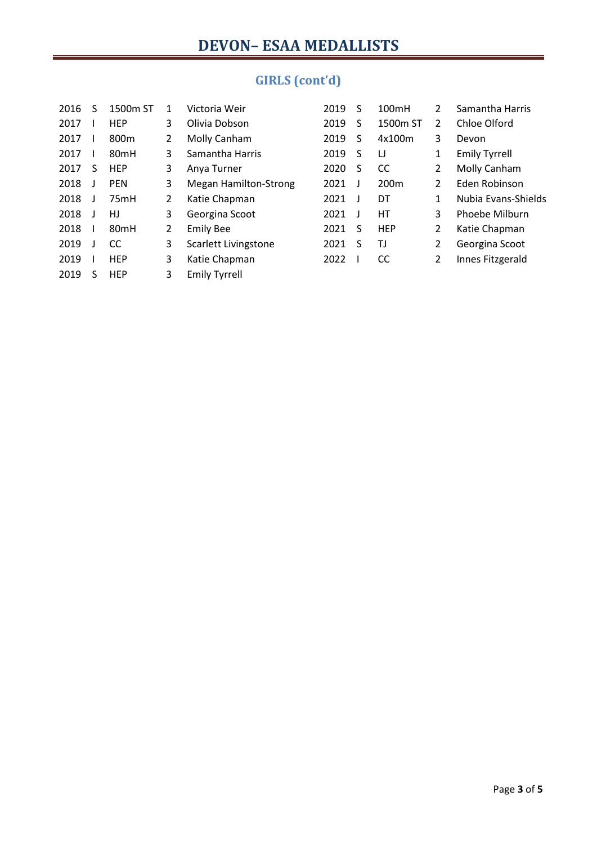| 2016 | S | 1500m ST         |                | Victoria Weir                | 2019 | S  | 100mH            | 2              | Samantha Harris      |
|------|---|------------------|----------------|------------------------------|------|----|------------------|----------------|----------------------|
| 2017 |   | <b>HEP</b>       | 3              | Olivia Dobson                | 2019 | S  | 1500m ST         | 2              | Chloe Olford         |
| 2017 |   | 800 <sub>m</sub> | $\overline{2}$ | Molly Canham                 | 2019 | S  | 4x100m           | 3              | Devon                |
| 2017 |   | 80 <sub>mH</sub> | 3              | Samantha Harris              | 2019 | S  | IJ               | 1              | <b>Emily Tyrrell</b> |
| 2017 | S | <b>HEP</b>       | 3              | Anya Turner                  | 2020 | S  | <sub>CC</sub>    | 2              | Molly Canham         |
| 2018 |   | <b>PEN</b>       | 3              | <b>Megan Hamilton-Strong</b> | 2021 |    | 200 <sub>m</sub> | 2              | Eden Robinson        |
| 2018 |   | 75mH             | $\overline{2}$ | Katie Chapman                | 2021 |    | DT               | 1              | Nubia Evans-Shields  |
| 2018 |   | HJ               | 3              | Georgina Scoot               | 2021 |    | НT               | 3              | Phoebe Milburn       |
| 2018 |   | 80 <sub>mH</sub> | 2              | <b>Emily Bee</b>             | 2021 | S  | <b>HEP</b>       | $\overline{2}$ | Katie Chapman        |
| 2019 |   | <b>CC</b>        | 3              | Scarlett Livingstone         | 2021 | -S | ΤJ               | $\overline{2}$ | Georgina Scoot       |
| 2019 |   | <b>HEP</b>       | 3              | Katie Chapman                | 2022 |    | CC               | 2              | Innes Fitzgerald     |
| 2019 | S | <b>HEP</b>       | 3              | <b>Emily Tyrrell</b>         |      |    |                  |                |                      |

# **GIRLS (cont'd)**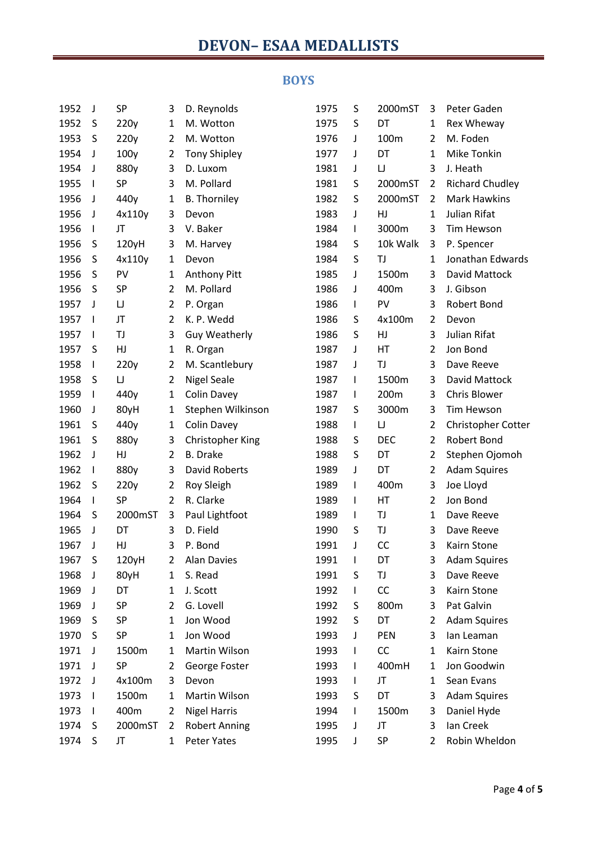# **DEVON– ESAA MEDALLISTS**

#### **BOYS**

| 1952 | J            | <b>SP</b> | 3              | D. Reynolds          | 1975 | S            | 2000mST    | 3              | Peter Gaden            |
|------|--------------|-----------|----------------|----------------------|------|--------------|------------|----------------|------------------------|
| 1952 | S            | 220y      | 1              | M. Wotton            | 1975 | S            | DT         | 1              | Rex Wheway             |
| 1953 | S            | 220y      | $\overline{2}$ | M. Wotton            | 1976 | J            | 100m       | 2              | M. Foden               |
| 1954 | J            | 100y      | $\overline{2}$ | <b>Tony Shipley</b>  | 1977 | J            | DT         | 1              | Mike Tonkin            |
| 1954 | J            | 880y      | 3              | D. Luxom             | 1981 | J            | IJ         | 3              | J. Heath               |
| 1955 | $\mathbf{I}$ | SP        | 3              | M. Pollard           | 1981 | S            | 2000mST    | $\overline{2}$ | <b>Richard Chudley</b> |
| 1956 | J            | 440y      | $\mathbf{1}$   | <b>B.</b> Thorniley  | 1982 | S            | 2000mST    | 2              | <b>Mark Hawkins</b>    |
| 1956 | J            | 4x110y    | 3              | Devon                | 1983 | J            | HJ         | 1              | Julian Rifat           |
| 1956 | I.           | JT        | 3              | V. Baker             | 1984 | $\mathsf{I}$ | 3000m      | 3              | Tim Hewson             |
| 1956 | S            | 120yH     | 3              | M. Harvey            | 1984 | S            | 10k Walk   | 3              | P. Spencer             |
| 1956 | S            | 4x110y    | $\mathbf{1}$   | Devon                | 1984 | S            | TJ         | 1              | Jonathan Edwards       |
| 1956 | S            | PV        | 1              | Anthony Pitt         | 1985 | J            | 1500m      | 3              | David Mattock          |
| 1956 | S            | SP        | $\overline{2}$ | M. Pollard           | 1986 | J            | 400m       | 3              | J. Gibson              |
| 1957 | J            | IJ        | $\overline{2}$ | P. Organ             | 1986 | $\mathsf{I}$ | PV         | 3              | Robert Bond            |
| 1957 | $\mathbf{I}$ | JT        | $\overline{2}$ | K. P. Wedd           | 1986 | S            | 4x100m     | 2              | Devon                  |
| 1957 | J.           | TJ        | 3              | <b>Guy Weatherly</b> | 1986 | S            | HJ         | 3              | Julian Rifat           |
| 1957 | S            | HJ        | $\mathbf{1}$   | R. Organ             | 1987 | J            | HT         | $\overline{2}$ | Jon Bond               |
| 1958 |              | 220y      | $\overline{2}$ | M. Scantlebury       | 1987 | J            | TJ         | 3              | Dave Reeve             |
| 1958 | S            | IJ        | $\overline{2}$ | <b>Nigel Seale</b>   | 1987 | $\mathsf{I}$ | 1500m      | 3              | David Mattock          |
| 1959 |              | 440y      | 1              | <b>Colin Davey</b>   | 1987 | $\mathsf{I}$ | 200m       | 3              | Chris Blower           |
| 1960 | J            | 80yH      | $\mathbf{1}$   | Stephen Wilkinson    | 1987 | S            | 3000m      | 3              | Tim Hewson             |
| 1961 | S            | 440y      | $\mathbf{1}$   | Colin Davey          | 1988 | $\mathsf{I}$ | IJ         | $\overline{2}$ | Christopher Cotter     |
| 1961 | S            | 880y      | 3              | Christopher King     | 1988 | S            | <b>DEC</b> | $\overline{2}$ | Robert Bond            |
| 1962 | J            | HJ        | $\overline{2}$ | <b>B.</b> Drake      | 1988 | S            | DT         | $\overline{2}$ | Stephen Ojomoh         |
| 1962 | $\perp$      | 880y      | 3              | <b>David Roberts</b> | 1989 | J            | DT         | $\overline{2}$ | <b>Adam Squires</b>    |
| 1962 | S            | 220y      | $\overline{2}$ | Roy Sleigh           | 1989 | $\mathsf{I}$ | 400m       | 3              | Joe Lloyd              |
| 1964 | $\mathbf{I}$ | SP        | $\overline{2}$ | R. Clarke            | 1989 | $\mathsf{I}$ | HT         | $\overline{2}$ | Jon Bond               |
| 1964 | S            | 2000mST   | 3              | Paul Lightfoot       | 1989 | $\mathbf{I}$ | TJ         | $\mathbf{1}$   | Dave Reeve             |
| 1965 | J            | DT        | 3              | D. Field             | 1990 | S            | TJ         | 3              | Dave Reeve             |
| 1967 | J            | HJ        | 3              | P. Bond              | 1991 | J            | CC         | 3              | Kairn Stone            |
| 1967 | S            | 120yH     | 2              | <b>Alan Davies</b>   | 1991 | $\mathsf{I}$ | DT         | 3              | <b>Adam Squires</b>    |
| 1968 | J            | 80yH      | 1              | S. Read              | 1991 | S            | TJ         | 3              | Dave Reeve             |
| 1969 | J            | DT        | 1              | J. Scott             | 1992 | $\mathsf{I}$ | CC         | 3              | Kairn Stone            |
| 1969 | J            | SP        | $\overline{2}$ | G. Lovell            | 1992 | S            | 800m       | 3              | Pat Galvin             |
| 1969 | S            | SP        | $\mathbf{1}$   | Jon Wood             | 1992 | S            | DT         | 2              | <b>Adam Squires</b>    |
| 1970 | S            | SP        | $\mathbf{1}$   | Jon Wood             | 1993 | J            | PEN        | 3              | lan Leaman             |
| 1971 | J            | 1500m     | $\mathbf{1}$   | Martin Wilson        | 1993 | $\mathsf{I}$ | CC         | $\mathbf{1}$   | Kairn Stone            |
| 1971 | J            | SP        | 2              | George Foster        | 1993 | L            | 400mH      | 1              | Jon Goodwin            |
| 1972 | J            | 4x100m    | 3              | Devon                | 1993 | $\mathbf{I}$ | JT         | 1              | Sean Evans             |
| 1973 |              | 1500m     | 1              | Martin Wilson        | 1993 | S            | DT         | 3              | <b>Adam Squires</b>    |
| 1973 | $\mathbf{I}$ | 400m      | $\overline{2}$ | <b>Nigel Harris</b>  | 1994 | L            | 1500m      | 3              | Daniel Hyde            |
| 1974 | S            | 2000mST   | 2              | <b>Robert Anning</b> | 1995 | J            | JT         | 3              | Ian Creek              |
| 1974 | $\sf S$      | JT        | $\mathbf{1}$   | Peter Yates          | 1995 | J            | SP         | 2              | Robin Wheldon          |